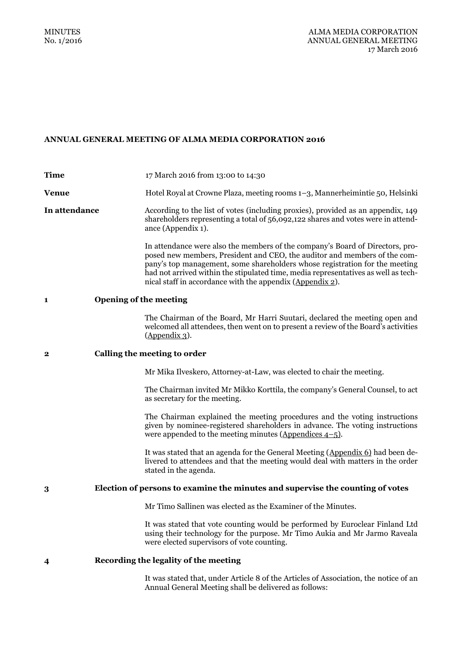# **ANNUAL GENERAL MEETING OF ALMA MEDIA CORPORATION 2016**

| <b>Time</b>                                                                         | 17 March 2016 from 13:00 to 14:30                                                                                                                                                                                                                                                                                                                                                            |
|-------------------------------------------------------------------------------------|----------------------------------------------------------------------------------------------------------------------------------------------------------------------------------------------------------------------------------------------------------------------------------------------------------------------------------------------------------------------------------------------|
| <b>Venue</b>                                                                        | Hotel Royal at Crowne Plaza, meeting rooms 1–3, Mannerheimintie 50, Helsinki                                                                                                                                                                                                                                                                                                                 |
| In attendance                                                                       | According to the list of votes (including proxies), provided as an appendix, 149<br>shareholders representing a total of 56,092,122 shares and votes were in attend-<br>ance (Appendix 1).                                                                                                                                                                                                   |
|                                                                                     | In attendance were also the members of the company's Board of Directors, pro-<br>posed new members, President and CEO, the auditor and members of the com-<br>pany's top management, some shareholders whose registration for the meeting<br>had not arrived within the stipulated time, media representatives as well as tech-<br>nical staff in accordance with the appendix (Appendix 2). |
| <b>Opening of the meeting</b><br>1                                                  |                                                                                                                                                                                                                                                                                                                                                                                              |
|                                                                                     | The Chairman of the Board, Mr Harri Suutari, declared the meeting open and<br>welcomed all attendees, then went on to present a review of the Board's activities<br>$(Appendix 3)$ .                                                                                                                                                                                                         |
| Calling the meeting to order<br>$\mathbf 2$                                         |                                                                                                                                                                                                                                                                                                                                                                                              |
|                                                                                     | Mr Mika Ilveskero, Attorney-at-Law, was elected to chair the meeting.                                                                                                                                                                                                                                                                                                                        |
|                                                                                     | The Chairman invited Mr Mikko Korttila, the company's General Counsel, to act<br>as secretary for the meeting.                                                                                                                                                                                                                                                                               |
|                                                                                     | The Chairman explained the meeting procedures and the voting instructions<br>given by nominee-registered shareholders in advance. The voting instructions<br>were appended to the meeting minutes ( $\Delta$ ppendices 4–5).                                                                                                                                                                 |
|                                                                                     | It was stated that an agenda for the General Meeting (Appendix 6) had been de-<br>livered to attendees and that the meeting would deal with matters in the order<br>stated in the agenda.                                                                                                                                                                                                    |
| Election of persons to examine the minutes and supervise the counting of votes<br>3 |                                                                                                                                                                                                                                                                                                                                                                                              |
|                                                                                     | Mr Timo Sallinen was elected as the Examiner of the Minutes.                                                                                                                                                                                                                                                                                                                                 |
|                                                                                     | It was stated that vote counting would be performed by Euroclear Finland Ltd<br>using their technology for the purpose. Mr Timo Aukia and Mr Jarmo Raveala<br>were elected supervisors of vote counting.                                                                                                                                                                                     |
| Recording the legality of the meeting<br>4                                          |                                                                                                                                                                                                                                                                                                                                                                                              |
|                                                                                     | It was stated that, under Article 8 of the Articles of Association, the notice of an<br>Annual General Meeting shall be delivered as follows:                                                                                                                                                                                                                                                |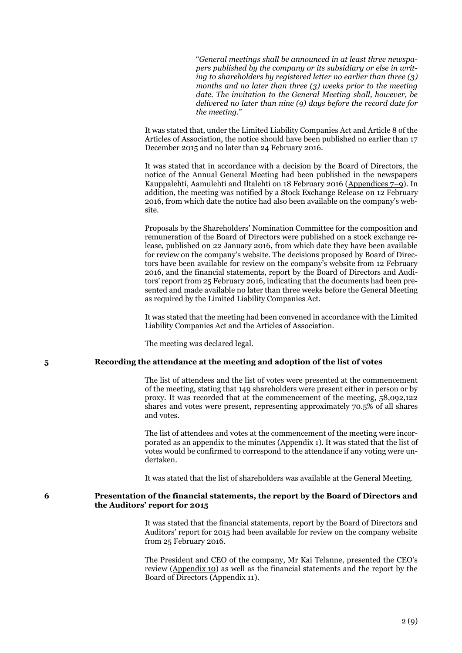"*General meetings shall be announced in at least three newspapers published by the company or its subsidiary or else in writing to shareholders by registered letter no earlier than three (3) months and no later than three (3) weeks prior to the meeting date. The invitation to the General Meeting shall, however, be delivered no later than nine (9) days before the record date for the meeting.*"

It was stated that, under the Limited Liability Companies Act and Article 8 of the Articles of Association, the notice should have been published no earlier than 17 December 2015 and no later than 24 February 2016.

It was stated that in accordance with a decision by the Board of Directors, the notice of the Annual General Meeting had been published in the newspapers Kauppalehti, Aamulehti and Iltalehti on 18 February 2016 (Appendices 7–9). In addition, the meeting was notified by a Stock Exchange Release on 12 February 2016, from which date the notice had also been available on the company's website.

Proposals by the Shareholders' Nomination Committee for the composition and remuneration of the Board of Directors were published on a stock exchange release, published on 22 January 2016, from which date they have been available for review on the company's website. The decisions proposed by Board of Directors have been available for review on the company's website from 12 February 2016, and the financial statements, report by the Board of Directors and Auditors' report from 25 February 2016, indicating that the documents had been presented and made available no later than three weeks before the General Meeting as required by the Limited Liability Companies Act.

It was stated that the meeting had been convened in accordance with the Limited Liability Companies Act and the Articles of Association.

The meeting was declared legal.

### **5 Recording the attendance at the meeting and adoption of the list of votes**

The list of attendees and the list of votes were presented at the commencement of the meeting, stating that 149 shareholders were present either in person or by proxy. It was recorded that at the commencement of the meeting, 58,092,122 shares and votes were present, representing approximately 70.5% of all shares and votes.

The list of attendees and votes at the commencement of the meeting were incorporated as an appendix to the minutes (Appendix 1). It was stated that the list of votes would be confirmed to correspond to the attendance if any voting were undertaken.

It was stated that the list of shareholders was available at the General Meeting.

### **6 Presentation of the financial statements, the report by the Board of Directors and the Auditors' report for 2015**

It was stated that the financial statements, report by the Board of Directors and Auditors' report for 2015 had been available for review on the company website from 25 February 2016.

The President and CEO of the company, Mr Kai Telanne, presented the CEO's review (Appendix 10) as well as the financial statements and the report by the Board of Directors (Appendix 11).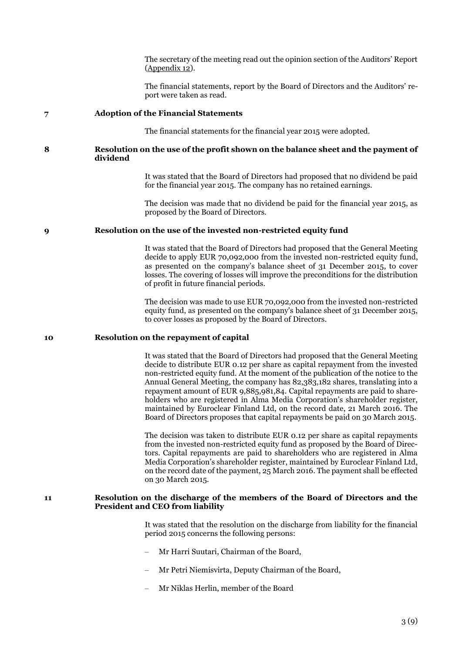The secretary of the meeting read out the opinion section of the Auditors' Report (Appendix 12).

The financial statements, report by the Board of Directors and the Auditors' report were taken as read.

#### **7 Adoption of the Financial Statements**

The financial statements for the financial year 2015 were adopted.

### **8 Resolution on the use of the profit shown on the balance sheet and the payment of dividend**

It was stated that the Board of Directors had proposed that no dividend be paid for the financial year 2015. The company has no retained earnings.

The decision was made that no dividend be paid for the financial year 2015, as proposed by the Board of Directors.

### **9 Resolution on the use of the invested non-restricted equity fund**

It was stated that the Board of Directors had proposed that the General Meeting decide to apply EUR 70,092,000 from the invested non-restricted equity fund, as presented on the company's balance sheet of 31 December 2015, to cover losses. The covering of losses will improve the preconditions for the distribution of profit in future financial periods.

The decision was made to use EUR 70,092,000 from the invested non-restricted equity fund, as presented on the company's balance sheet of 31 December 2015, to cover losses as proposed by the Board of Directors.

#### **10 Resolution on the repayment of capital**

It was stated that the Board of Directors had proposed that the General Meeting decide to distribute EUR 0.12 per share as capital repayment from the invested non-restricted equity fund. At the moment of the publication of the notice to the Annual General Meeting, the company has 82,383,182 shares, translating into a repayment amount of EUR 9,885,981,84. Capital repayments are paid to shareholders who are registered in Alma Media Corporation's shareholder register, maintained by Euroclear Finland Ltd, on the record date, 21 March 2016. The Board of Directors proposes that capital repayments be paid on 30 March 2015.

The decision was taken to distribute EUR 0.12 per share as capital repayments from the invested non-restricted equity fund as proposed by the Board of Directors. Capital repayments are paid to shareholders who are registered in Alma Media Corporation's shareholder register, maintained by Euroclear Finland Ltd, on the record date of the payment, 25 March 2016. The payment shall be effected on 30 March 2015.

### **11 Resolution on the discharge of the members of the Board of Directors and the President and CEO from liability**

It was stated that the resolution on the discharge from liability for the financial period 2015 concerns the following persons:

- Mr Harri Suutari, Chairman of the Board,
- Mr Petri Niemisvirta, Deputy Chairman of the Board,
- Mr Niklas Herlin, member of the Board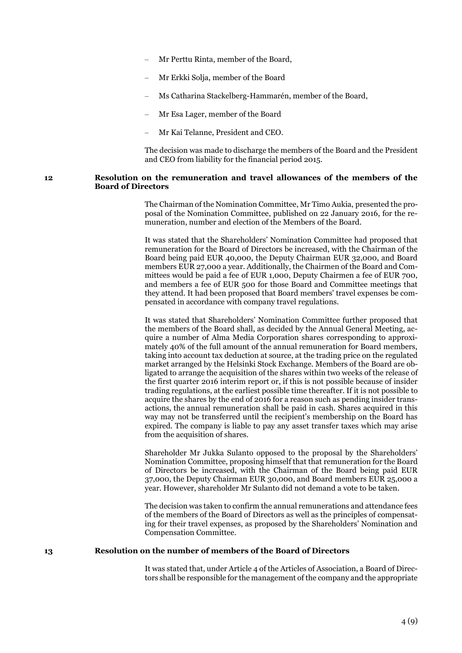- Mr Perttu Rinta, member of the Board,
- Mr Erkki Solja, member of the Board
- Ms Catharina Stackelberg-Hammarén, member of the Board,
- Mr Esa Lager, member of the Board
- Mr Kai Telanne, President and CEO.

The decision was made to discharge the members of the Board and the President and CEO from liability for the financial period 2015.

### **12 Resolution on the remuneration and travel allowances of the members of the Board of Directors**

The Chairman of the Nomination Committee, Mr Timo Aukia, presented the proposal of the Nomination Committee, published on 22 January 2016, for the remuneration, number and election of the Members of the Board.

It was stated that the Shareholders' Nomination Committee had proposed that remuneration for the Board of Directors be increased, with the Chairman of the Board being paid EUR 40,000, the Deputy Chairman EUR 32,000, and Board members EUR 27,000 a year. Additionally, the Chairmen of the Board and Committees would be paid a fee of EUR 1,000, Deputy Chairmen a fee of EUR 700, and members a fee of EUR 500 for those Board and Committee meetings that they attend. It had been proposed that Board members' travel expenses be compensated in accordance with company travel regulations.

It was stated that Shareholders' Nomination Committee further proposed that the members of the Board shall, as decided by the Annual General Meeting, acquire a number of Alma Media Corporation shares corresponding to approximately 40% of the full amount of the annual remuneration for Board members, taking into account tax deduction at source, at the trading price on the regulated market arranged by the Helsinki Stock Exchange. Members of the Board are obligated to arrange the acquisition of the shares within two weeks of the release of the first quarter 2016 interim report or, if this is not possible because of insider trading regulations, at the earliest possible time thereafter. If it is not possible to acquire the shares by the end of 2016 for a reason such as pending insider transactions, the annual remuneration shall be paid in cash. Shares acquired in this way may not be transferred until the recipient's membership on the Board has expired. The company is liable to pay any asset transfer taxes which may arise from the acquisition of shares.

Shareholder Mr Jukka Sulanto opposed to the proposal by the Shareholders' Nomination Committee, proposing himself that that remuneration for the Board of Directors be increased, with the Chairman of the Board being paid EUR 37,000, the Deputy Chairman EUR 30,000, and Board members EUR 25,000 a year. However, shareholder Mr Sulanto did not demand a vote to be taken.

The decision was taken to confirm the annual remunerations and attendance fees of the members of the Board of Directors as well as the principles of compensating for their travel expenses, as proposed by the Shareholders' Nomination and Compensation Committee.

#### **13 Resolution on the number of members of the Board of Directors**

It was stated that, under Article 4 of the Articles of Association, a Board of Directors shall be responsible for the management of the company and the appropriate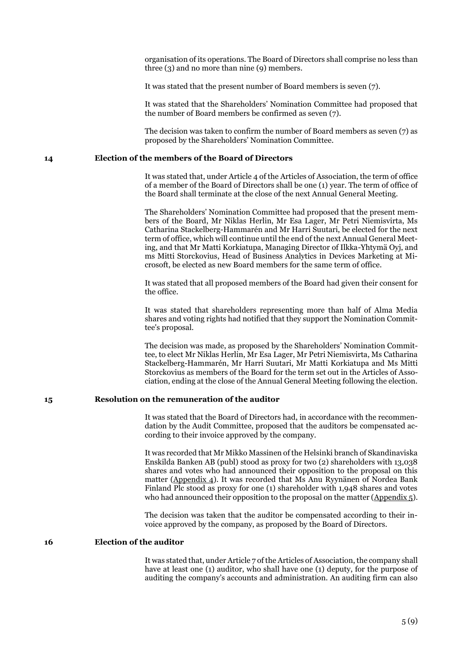organisation of its operations. The Board of Directors shall comprise no less than three (3) and no more than nine (9) members.

It was stated that the present number of Board members is seven (7).

It was stated that the Shareholders' Nomination Committee had proposed that the number of Board members be confirmed as seven (7).

The decision was taken to confirm the number of Board members as seven (7) as proposed by the Shareholders' Nomination Committee.

#### **14 Election of the members of the Board of Directors**

It was stated that, under Article 4 of the Articles of Association, the term of office of a member of the Board of Directors shall be one (1) year. The term of office of the Board shall terminate at the close of the next Annual General Meeting.

The Shareholders' Nomination Committee had proposed that the present members of the Board, Mr Niklas Herlin, Mr Esa Lager, Mr Petri Niemisvirta, Ms Catharina Stackelberg-Hammarén and Mr Harri Suutari, be elected for the next term of office, which will continue until the end of the next Annual General Meeting, and that Mr Matti Korkiatupa, Managing Director of Ilkka-Yhtymä Oyj, and ms Mitti Storckovius, Head of Business Analytics in Devices Marketing at Microsoft, be elected as new Board members for the same term of office.

It was stated that all proposed members of the Board had given their consent for the office.

It was stated that shareholders representing more than half of Alma Media shares and voting rights had notified that they support the Nomination Committee's proposal.

The decision was made, as proposed by the Shareholders' Nomination Committee, to elect Mr Niklas Herlin, Mr Esa Lager, Mr Petri Niemisvirta, Ms Catharina Stackelberg-Hammarén, Mr Harri Suutari, Mr Matti Korkiatupa and Ms Mitti Storckovius as members of the Board for the term set out in the Articles of Association, ending at the close of the Annual General Meeting following the election.

### **15 Resolution on the remuneration of the auditor**

It was stated that the Board of Directors had, in accordance with the recommendation by the Audit Committee, proposed that the auditors be compensated according to their invoice approved by the company.

It was recorded that Mr Mikko Massinen of the Helsinki branch of Skandinaviska Enskilda Banken AB (publ) stood as proxy for two (2) shareholders with 13,038 shares and votes who had announced their opposition to the proposal on this matter (Appendix 4). It was recorded that Ms Anu Ryynänen of Nordea Bank Finland Plc stood as proxy for one (1) shareholder with 1,948 shares and votes who had announced their opposition to the proposal on the matter (Appendix 5).

The decision was taken that the auditor be compensated according to their invoice approved by the company, as proposed by the Board of Directors.

### **16 Election of the auditor**

It was stated that, under Article 7 of the Articles of Association, the company shall have at least one (1) auditor, who shall have one (1) deputy, for the purpose of auditing the company's accounts and administration. An auditing firm can also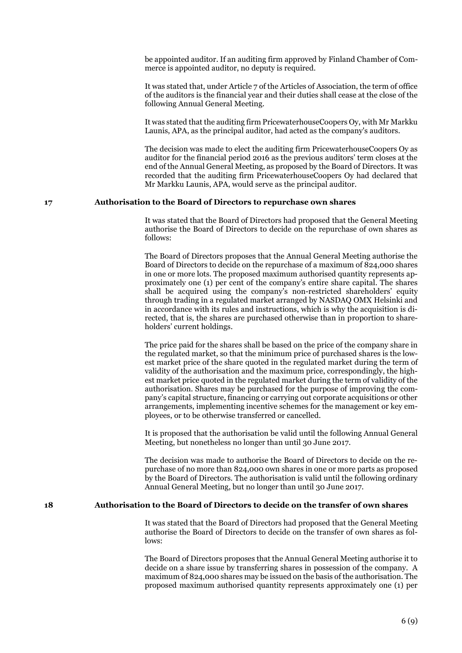be appointed auditor. If an auditing firm approved by Finland Chamber of Commerce is appointed auditor, no deputy is required.

It was stated that, under Article 7 of the Articles of Association, the term of office of the auditors is the financial year and their duties shall cease at the close of the following Annual General Meeting.

It was stated that the auditing firm PricewaterhouseCoopers Oy, with Mr Markku Launis, APA, as the principal auditor, had acted as the company's auditors.

The decision was made to elect the auditing firm PricewaterhouseCoopers Oy as auditor for the financial period 2016 as the previous auditors' term closes at the end of the Annual General Meeting, as proposed by the Board of Directors. It was recorded that the auditing firm PricewaterhouseCoopers Oy had declared that Mr Markku Launis, APA, would serve as the principal auditor.

### **17 Authorisation to the Board of Directors to repurchase own shares**

It was stated that the Board of Directors had proposed that the General Meeting authorise the Board of Directors to decide on the repurchase of own shares as follows:

The Board of Directors proposes that the Annual General Meeting authorise the Board of Directors to decide on the repurchase of a maximum of 824,000 shares in one or more lots. The proposed maximum authorised quantity represents approximately one (1) per cent of the company's entire share capital. The shares shall be acquired using the company's non-restricted shareholders' equity through trading in a regulated market arranged by NASDAQ OMX Helsinki and in accordance with its rules and instructions, which is why the acquisition is directed, that is, the shares are purchased otherwise than in proportion to shareholders' current holdings.

The price paid for the shares shall be based on the price of the company share in the regulated market, so that the minimum price of purchased shares is the lowest market price of the share quoted in the regulated market during the term of validity of the authorisation and the maximum price, correspondingly, the highest market price quoted in the regulated market during the term of validity of the authorisation. Shares may be purchased for the purpose of improving the company's capital structure, financing or carrying out corporate acquisitions or other arrangements, implementing incentive schemes for the management or key employees, or to be otherwise transferred or cancelled.

It is proposed that the authorisation be valid until the following Annual General Meeting, but nonetheless no longer than until 30 June 2017.

The decision was made to authorise the Board of Directors to decide on the repurchase of no more than 824,000 own shares in one or more parts as proposed by the Board of Directors. The authorisation is valid until the following ordinary Annual General Meeting, but no longer than until 30 June 2017.

### **18 Authorisation to the Board of Directors to decide on the transfer of own shares**

It was stated that the Board of Directors had proposed that the General Meeting authorise the Board of Directors to decide on the transfer of own shares as follows:

The Board of Directors proposes that the Annual General Meeting authorise it to decide on a share issue by transferring shares in possession of the company. A maximum of 824,000 shares may be issued on the basis of the authorisation. The proposed maximum authorised quantity represents approximately one (1) per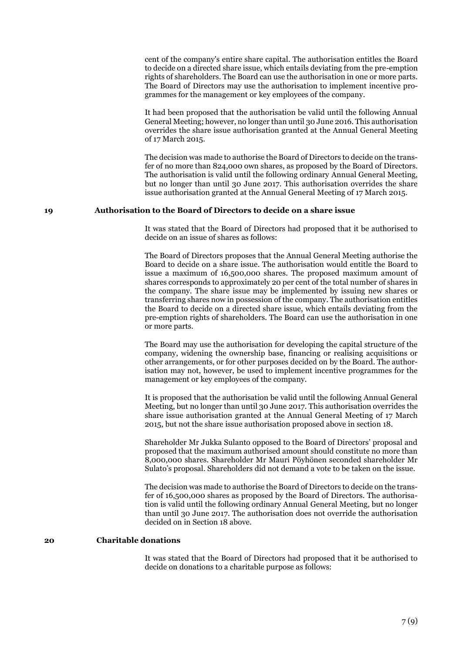cent of the company's entire share capital. The authorisation entitles the Board to decide on a directed share issue, which entails deviating from the pre-emption rights of shareholders. The Board can use the authorisation in one or more parts. The Board of Directors may use the authorisation to implement incentive programmes for the management or key employees of the company.

It had been proposed that the authorisation be valid until the following Annual General Meeting; however, no longer than until 30 June 2016. This authorisation overrides the share issue authorisation granted at the Annual General Meeting of 17 March 2015.

The decision was made to authorise the Board of Directors to decide on the transfer of no more than 824,000 own shares, as proposed by the Board of Directors. The authorisation is valid until the following ordinary Annual General Meeting, but no longer than until 30 June 2017. This authorisation overrides the share issue authorisation granted at the Annual General Meeting of 17 March 2015.

### **19 Authorisation to the Board of Directors to decide on a share issue**

It was stated that the Board of Directors had proposed that it be authorised to decide on an issue of shares as follows:

The Board of Directors proposes that the Annual General Meeting authorise the Board to decide on a share issue. The authorisation would entitle the Board to issue a maximum of 16,500,000 shares. The proposed maximum amount of shares corresponds to approximately 20 per cent of the total number of shares in the company. The share issue may be implemented by issuing new shares or transferring shares now in possession of the company. The authorisation entitles the Board to decide on a directed share issue, which entails deviating from the pre-emption rights of shareholders. The Board can use the authorisation in one or more parts.

The Board may use the authorisation for developing the capital structure of the company, widening the ownership base, financing or realising acquisitions or other arrangements, or for other purposes decided on by the Board. The authorisation may not, however, be used to implement incentive programmes for the management or key employees of the company.

It is proposed that the authorisation be valid until the following Annual General Meeting, but no longer than until 30 June 2017. This authorisation overrides the share issue authorisation granted at the Annual General Meeting of 17 March 2015, but not the share issue authorisation proposed above in section 18.

Shareholder Mr Jukka Sulanto opposed to the Board of Directors' proposal and proposed that the maximum authorised amount should constitute no more than 8,000,000 shares. Shareholder Mr Mauri Pöyhönen seconded shareholder Mr Sulato's proposal. Shareholders did not demand a vote to be taken on the issue.

The decision was made to authorise the Board of Directors to decide on the transfer of 16,500,000 shares as proposed by the Board of Directors. The authorisation is valid until the following ordinary Annual General Meeting, but no longer than until 30 June 2017. The authorisation does not override the authorisation decided on in Section 18 above.

# **20 Charitable donations**

It was stated that the Board of Directors had proposed that it be authorised to decide on donations to a charitable purpose as follows: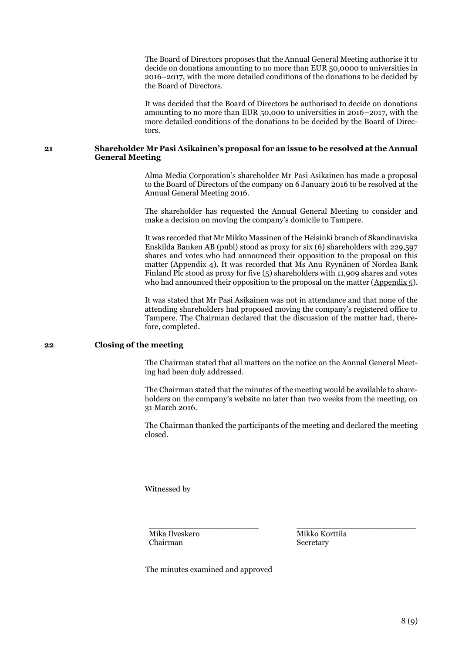The Board of Directors proposes that the Annual General Meeting authorise it to decide on donations amounting to no more than EUR 50,0000 to universities in 2016–2017, with the more detailed conditions of the donations to be decided by the Board of Directors.

It was decided that the Board of Directors be authorised to decide on donations amounting to no more than EUR 50,000 to universities in 2016–2017, with the more detailed conditions of the donations to be decided by the Board of Directors.

### **21 Shareholder Mr Pasi Asikainen's proposal for an issue to be resolved at the Annual General Meeting**

Alma Media Corporation's shareholder Mr Pasi Asikainen has made a proposal to the Board of Directors of the company on 6 January 2016 to be resolved at the Annual General Meeting 2016.

The shareholder has requested the Annual General Meeting to consider and make a decision on moving the company's domicile to Tampere.

It was recorded that Mr Mikko Massinen of the Helsinki branch of Skandinaviska Enskilda Banken AB (publ) stood as proxy for six (6) shareholders with 229,597 shares and votes who had announced their opposition to the proposal on this matter (Appendix 4). It was recorded that Ms Anu Ryynänen of Nordea Bank Finland Plc stood as proxy for five (5) shareholders with 11,909 shares and votes who had announced their opposition to the proposal on the matter ( $\Delta$ ppendix 5).

It was stated that Mr Pasi Asikainen was not in attendance and that none of the attending shareholders had proposed moving the company's registered office to Tampere. The Chairman declared that the discussion of the matter had, therefore, completed.

# **22 Closing of the meeting**

The Chairman stated that all matters on the notice on the Annual General Meeting had been duly addressed.

The Chairman stated that the minutes of the meeting would be available to shareholders on the company's website no later than two weeks from the meeting, on 31 March 2016.

The Chairman thanked the participants of the meeting and declared the meeting closed.

\_\_\_\_\_\_\_\_\_\_\_\_\_\_\_\_\_\_\_\_\_\_ \_\_\_\_\_\_\_\_\_\_\_\_\_\_\_\_\_\_\_\_\_\_\_\_

Witnessed by

Mika Ilveskero Chairman

Mikko Korttila Secretary

The minutes examined and approved